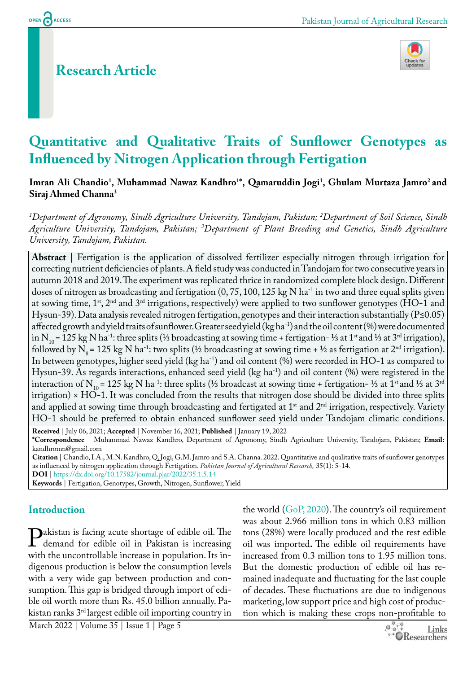OPEN ACCESS

# **Research Article**



# **Quantitative and Qualitative Traits of Sunflower Genotypes as Influenced by Nitrogen Application through Fertigation**

Imran Ali Chandio<sup>1</sup>, Muhammad Nawaz Kandhro<sup>1</sup>\*, Qamaruddin Jogi<sup>1</sup>, Ghulam Murtaza Jamro<sup>2</sup> and **Siraj Ahmed Channa3**

*1 Department of Agronomy, Sindh Agriculture University, Tandojam, Pakistan; 2 Department of Soil Science, Sindh Agriculture University, Tandojam, Pakistan; 3 Department of Plant Breeding and Genetics, Sindh Agriculture University, Tandojam, Pakistan.*

**Abstract** | Fertigation is the application of dissolved fertilizer especially nitrogen through irrigation for correcting nutrient deficiencies of plants. A field study was conducted in Tandojam for two consecutive years in autumn 2018 and 2019. The experiment was replicated thrice in randomized complete block design. Different doses of nitrogen as broadcasting and fertigation  $(0, 75, 100, 125 \text{ kg N} \text{ ha}^{-1})$  in two and three equal splits given at sowing time,  $1<sup>st</sup>$ ,  $2<sup>nd</sup>$  and  $3<sup>rd</sup>$  irrigations, respectively) were applied to two sunflower genotypes (HO-1 and Hysun-39). Data analysis revealed nitrogen fertigation, genotypes and their interaction substantially (P≤0.05) affected growth and yield traits of sunflower. Greater seed yield (kg ha-1) and the oil content (%) were documented in N<sub>10</sub> = 125 kg N ha<sup>-1</sup>: three splits (⅓ broadcasting at sowing time + fertigation- ⅓ at 1<sup>st</sup> and ⅓ at 3<sup>rd</sup> irrigation), followed by N<sub>8</sub> = 125 kg N ha<sup>-1</sup>: two splits (½ broadcasting at sowing time + ½ as fertigation at 2<sup>nd</sup> irrigation). In between genotypes, higher seed yield (kg ha<sup>-1</sup>) and oil content (%) were recorded in HO-1 as compared to Hysun-39. As regards interactions, enhanced seed yield (kg ha<sup>-1</sup>) and oil content (%) were registered in the interaction of N<sub>10</sub> = 125 kg N ha<sup>-1</sup>: three splits (⅓ broadcast at sowing time + fertigation- ⅓ at 1<sup>st</sup> and ⅓ at 3<sup>rd</sup> irrigation)  $\times$  HO-1. It was concluded from the results that nitrogen dose should be divided into three splits and applied at sowing time through broadcasting and fertigated at  $1<sup>st</sup>$  and  $2<sup>nd</sup>$  irrigation, respectively. Variety HO-1 should be preferred to obtain enhanced sunflower seed yield under Tandojam climatic conditions.

**Received** | July 06, 2021; **Accepted** | November 16, 2021; **Published** | January 19, 2022 **\*Correspondence** | Muhammad Nawaz Kandhro, Department of Agronomy, Sindh Agriculture University, Tandojam, Pakistan; **Email:** kandhromn@gmail.com

**Citation** | Chandio, I.A., M.N. Kandhro, Q. Jogi, G.M. Jamro and S.A. Channa. 2022. Quantitative and qualitative traits of sunflower genotypes as influenced by nitrogen application through Fertigation. *Pakistan Journal of Agricultural Research,* 35(1): 5-14. **DOI** | <https://dx.doi.org/10.17582/journal.pjar/2022/35.1.5.14>

**Keywords** | Fertigation, Genotypes, Growth, Nitrogen, Sunflower, Yield

#### **Introduction**

Pakistan is facing acute shortage of edible oil. The demand for edible oil in Pakistan is increasing with the uncontrollable increase in population. Its indigenous production is below the consumption levels with a very wide gap between production and consumption. This gap is bridged through import of edible oil worth more than Rs. 45.0 billion annually. Pakistan ranks 3rd largest edible oil importing country in

the world  $(GoP, 2020)$  $(GoP, 2020)$ . The country's oil requirement was about 2.966 million tons in which 0.83 million tons (28%) were locally produced and the rest edible oil was imported**.** The edible oil requirements have increased from 0.3 million tons to 1.95 million tons. But the domestic production of edible oil has remained inadequate and fluctuating for the last couple of decades. These fluctuations are due to indigenous marketing, low support price and high cost of production which is making these crops non-profitable to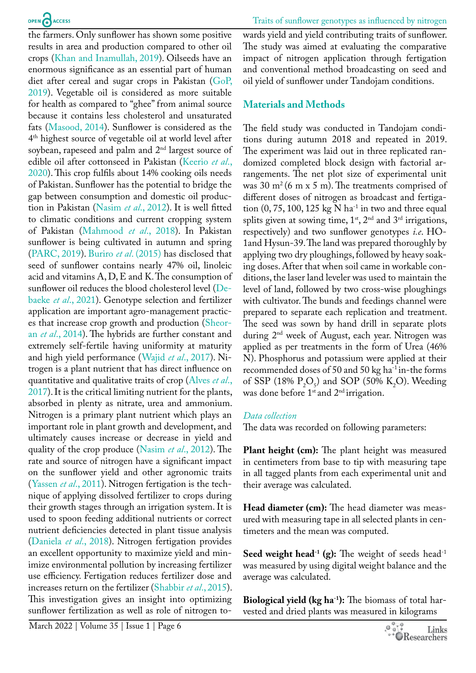the farmers. Only sunflower has shown some positive results in area and production compared to other oil crops [\(Khan and Inamullah, 2019\)](#page-8-1). Oilseeds have an enormous significance as an essential part of human diet after cereal and sugar crops in Pakistan [\(GoP,](#page-8-0)  [2019](#page-8-0)). Vegetable oil is considered as more suitable for health as compared to "ghee" from animal source because it contains less cholesterol and unsaturated fats [\(Masood, 2014](#page-8-2)). Sunflower is considered as the 4th highest source of vegetable oil at world level after soybean, rapeseed and palm and 2nd largest source of edible oil after cottonseed in Pakistan [\(Keerio](#page-8-3) *et al*., [2020](#page-8-3)). This crop fulfils about 14% cooking oils needs of Pakistan. Sunflower has the potential to bridge the gap between consumption and domestic oil production in Pakistan [\(Nasim](#page-8-4) *et al*., 2012). It is well fitted to climatic conditions and current cropping system of Pakistan ([Mahmood](#page-8-5) *et al*., 2018). In Pakistan sunflower is being cultivated in autumn and spring [\(PARC, 2019](#page-9-0)). Buriro *et al*[. \(2015\)](#page-8-6) has disclosed that seed of sunflower contains nearly 47% oil, linoleic acid and vitamins A, D, E and K. The consumption of sunflower oil reduces the blood cholesterol level [\(De](#page-8-7)baeke *et al*[., 2021\)](#page-8-7). Genotype selection and fertilizer application are important agro-management practices that increase crop growth and production ([Sheor](#page-9-1)an *et al*[., 2014\)](#page-9-1). The hybrids are further constant and extremely self-fertile having uniformity at maturity and high yield performance (Wajid *et al*[., 2017\)](#page-9-2). Nitrogen is a plant nutrient that has direct influence on quantitative and qualitative traits of crop [\(Alves](#page-8-8) *et al*., [2017](#page-8-8)). It is the critical limiting nutrient for the plants, absorbed in plenty as nitrate, urea and ammonium. Nitrogen is a primary plant nutrient which plays an important role in plant growth and development, and ultimately causes increase or decrease in yield and quality of the crop produce ([Nasim](#page-8-4) *et al*., 2012). The rate and source of nitrogen have a significant impact on the sunflower yield and other agronomic traits ([Yassen](#page-9-3) *et al*., 2011). Nitrogen fertigation is the technique of applying dissolved fertilizer to crops during their growth stages through an irrigation system. It is used to spoon feeding additional nutrients or correct nutrient deficiencies detected in plant tissue analysis (Daniela *et al*., 2018). Nitrogen fertigation provides an excellent opportunity to maximize yield and minimize environmental pollution by increasing fertilizer use efficiency. Fertigation reduces fertilizer dose and increases return on the fertilizer ([Shabbir](#page-9-4) *et al*., 2015). This investigation gives an insight into optimizing sunflower fertilization as well as role of nitrogen towards yield and yield contributing traits of sunflower. The study was aimed at evaluating the comparative impact of nitrogen application through fertigation and conventional method broadcasting on seed and oil yield of sunflower under Tandojam conditions.

#### **Materials and Methods**

The field study was conducted in Tandojam conditions during autumn 2018 and repeated in 2019. The experiment was laid out in three replicated randomized completed block design with factorial arrangements. The net plot size of experimental unit was 30  $m^2$  (6 m x 5 m). The treatments comprised of different doses of nitrogen as broadcast and fertigation  $(0, 75, 100, 125 \text{ kg N} \text{ ha}^{-1}$  in two and three equal splits given at sowing time,  $1^{st}$ ,  $2^{nd}$  and  $3^{rd}$  irrigations, respectively) and two sunflower genotypes *i.e*. HO-1and Hysun-39. The land was prepared thoroughly by applying two dry ploughings, followed by heavy soaking doses. After that when soil came in workable conditions, the laser land leveler was used to maintain the level of land, followed by two cross-wise ploughings with cultivator. The bunds and feedings channel were prepared to separate each replication and treatment. The seed was sown by hand drill in separate plots during 2nd week of August, each year. Nitrogen was applied as per treatments in the form of Urea (46% N). Phosphorus and potassium were applied at their recommended doses of 50 and 50 kg ha-1 in-the forms of SSP (18%  $P_2O_5$ ) and SOP (50% K<sub>2</sub>O). Weeding was done before 1<sup>st</sup> and 2<sup>nd</sup> irrigation.

#### *Data collection*

The data was recorded on following parameters:

**Plant height (cm):** The plant height was measured in centimeters from base to tip with measuring tape in all tagged plants from each experimental unit and their average was calculated.

**Head diameter (cm):** The head diameter was measured with measuring tape in all selected plants in centimeters and the mean was computed.

**Seed weight head<sup>-1</sup> (g):** The weight of seeds head<sup>-1</sup> was measured by using digital weight balance and the average was calculated.

**Biological yield (kg ha<sup>-1</sup>):** The biomass of total harvested and dried plants was measured in kilograms

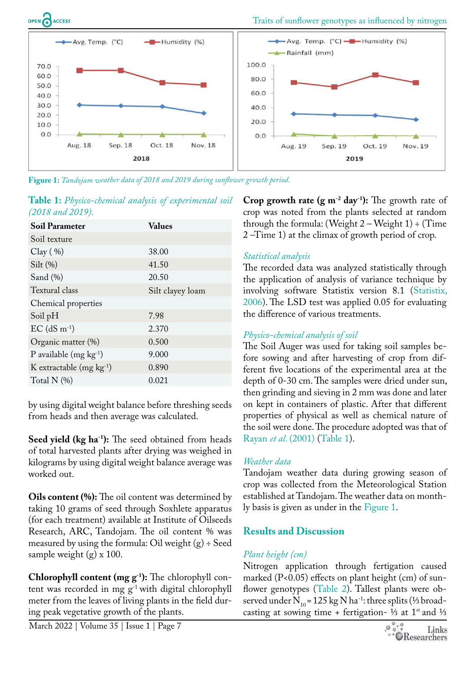

<span id="page-2-1"></span>**Figure 1:** *Tandojam weather data of 2018 and 2019 during sunflower growth period.* 

<span id="page-2-0"></span>

| Table 1: Physico-chemical analysis of experimental soil |  |  |
|---------------------------------------------------------|--|--|
| $(2018$ and $2019)$ .                                   |  |  |

| <b>Soil Parameter</b>        | <b>Values</b>    |
|------------------------------|------------------|
| Soil texture                 |                  |
| Clay( %)                     | 38.00            |
| Silt $(\%)$                  | 41.50            |
| Sand $(\%)$                  | 20.50            |
| Textural class               | Silt clayey loam |
| Chemical properties          |                  |
| Soil pH                      | 7.98             |
| $EC$ (dS m <sup>-1</sup> )   | 2.370            |
| Organic matter (%)           | 0.500            |
| P available $(mg kg^{-1})$   | 9.000            |
| K extractable $(mg kg^{-1})$ | 0.890            |
| Total $N$ $(\%)$             | 0.021            |

by using digital weight balance before threshing seeds from heads and then average was calculated.

**Seed yield (kg ha<sup>-1</sup>):** The seed obtained from heads of total harvested plants after drying was weighed in kilograms by using digital weight balance average was worked out.

**Oils content (%):** The oil content was determined by taking 10 grams of seed through Soxhlete apparatus (for each treatment) available at Institute of Oilseeds Research, ARC, Tandojam. The oil content % was measured by using the formula: Oil weight  $(g) \div$  Seed sample weight (g) x 100.

**Chlorophyll content (mg g-1):** The chlorophyll content was recorded in mg  $g^{-1}$  with digital chlorophyll meter from the leaves of living plants in the field during peak vegetative growth of the plants.

**Crop growth rate (g m<sup>-2</sup> day<sup>-1</sup>):** The growth rate of crop was noted from the plants selected at random through the formula: (Weight  $2$  – Weight  $1$ ) ÷ (Time 2 –Time 1) at the climax of growth period of crop.

#### *Statistical analysis*

The recorded data was analyzed statistically through the application of analysis of variance technique by involving software Statistix version 8.1 [\(Statistix,](#page-9-5)  [2006](#page-9-5)). The LSD test was applied 0.05 for evaluating the difference of various treatments.

#### *Physico-chemical analysis of soil*

The Soil Auger was used for taking soil samples before sowing and after harvesting of crop from different five locations of the experimental area at the depth of 0-30 cm. The samples were dried under sun, then grinding and sieving in 2 mm was done and later on kept in containers of plastic. After that different properties of physical as well as chemical nature of the soil were done. The procedure adopted was that of Rayan *et al*[. \(2001\)](#page-9-6) ([Table 1\)](#page-2-0).

## *Weather data*

Tandojam weather data during growing season of crop was collected from the Meteorological Station established at Tandojam. The weather data on monthly basis is given as under in the [Figure 1](#page-2-1).

## **Results and Discussion**

## *Plant height (cm)*

Nitrogen application through fertigation caused marked (P<0.05) effects on plant height (cm) of sunflower genotypes ([Table 2\)](#page-3-0). Tallest plants were observed under N<sub>10</sub> = 125 kg N ha<sup>-1</sup>: three splits (⅓ broadcasting at sowing time + fertigation- ½ at 1<sup>st</sup> and ½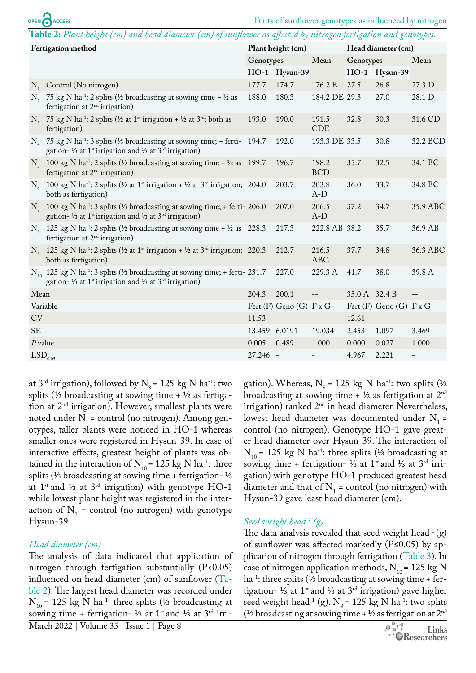## OPEN CACCESS

<span id="page-3-0"></span>**Table 2:** *Plant height (cm) and head diameter (cm) of sunflower as affected by nitrogen fertigation and genotypes.*

| Fertigation method    |                                                                                                                                                                                                       |               | Plant height (cm)           |                     | Head diameter (cm) |                             |          |  |
|-----------------------|-------------------------------------------------------------------------------------------------------------------------------------------------------------------------------------------------------|---------------|-----------------------------|---------------------|--------------------|-----------------------------|----------|--|
|                       |                                                                                                                                                                                                       | Genotypes     |                             | Mean                | Genotypes          |                             | Mean     |  |
|                       |                                                                                                                                                                                                       |               | HO-1 Hysun-39               |                     |                    | HO-1 Hysun-39               |          |  |
|                       | $N_1$ Control (No nitrogen)                                                                                                                                                                           | 177.7         | 174.7                       | 176.2 E             | 27.5               | 26.8                        | 27.3 D   |  |
|                       | N <sub>2</sub> 75 kg N ha <sup>-1</sup> : 2 splits ( $\frac{1}{2}$ broadcasting at sowing time + $\frac{1}{2}$ as<br>fertigation at $2nd$ irrigation)                                                 | 188.0         | 180.3                       | 184.2 DE 29.3       |                    | 27.0                        | 28.1 D   |  |
|                       | N <sub>3</sub> 75 kg N ha <sup>-1</sup> : 2 splits ( $\frac{1}{2}$ at 1 <sup>st</sup> irrigation + $\frac{1}{2}$ at 3 <sup>rd</sup> ; both as<br>fertigation)                                         | 193.0         | 190.0                       | 191.5<br><b>CDE</b> | 32.8               | 30.3                        | 31.6 CD  |  |
|                       | $N_A$ 75 kg N ha <sup>-1</sup> : 3 splits (1/3 broadcasting at sowing time; + ferti- 194.7<br>gation- $\frac{1}{3}$ at 1 <sup>st</sup> irrigation and $\frac{1}{3}$ at 3 <sup>rd</sup> irrigation)    |               | 192.0                       | 193.3 DE 33.5       |                    | 30.8                        | 32.2 BCD |  |
|                       | $N_c$ 100 kg N ha <sup>-1</sup> : 2 splits (1/2 broadcasting at sowing time + 1/2 as 199.7<br>fertigation at $2nd$ irrigation)                                                                        |               | 196.7                       | 198.2<br><b>BCD</b> | 35.7               | 32.5                        | 34.1 BC  |  |
|                       | $N_6$ 100 kg N ha <sup>-1</sup> : 2 splits (1/2 at 1 <sup>st</sup> irrigation + 1/2 at 3 <sup>rd</sup> irrigation; 204.0<br>both as fertigation)                                                      |               | 203.7                       | 203.8<br>$A-D$      | 36.0               | 33.7                        | 34.8 BC  |  |
|                       | N <sub>7</sub> 100 kg N ha <sup>-1</sup> : 3 splits (1/3 broadcasting at sowing time; + ferti- 206.0<br>gation- 1/3 at 1 <sup>st</sup> irrigation and 1/3 at 3 <sup>rd</sup> irrigation)              |               | 207.0                       | 206.5<br>$A-D$      | 37.2               | 34.7                        | 35.9 ABC |  |
|                       | $N_e$ 125 kg N ha <sup>-1</sup> : 2 splits (1/2 broadcasting at sowing time + 1/2 as 228.3<br>fertigation at $2nd$ irrigation)                                                                        |               | 217.3                       | 222.8 AB 38.2       |                    | 35.7                        | 36.9 AB  |  |
|                       | N <sub>o</sub> 125 kg N ha <sup>-1</sup> : 2 splits (1/2 at 1 <sup>st</sup> irrigation + 1/2 at 3 <sup>rd</sup> irrigation; 220.3<br>both as fertigation)                                             |               | 212.7                       | 216.5<br><b>ABC</b> | 37.7               | 34.8                        | 36.3 ABC |  |
|                       | $N_{10}$ 125 kg N ha <sup>-1</sup> : 3 splits (1/3 broadcasting at sowing time; + ferti-231.7<br>gation- $\frac{1}{3}$ at 1 <sup>st</sup> irrigation and $\frac{1}{3}$ at 3 <sup>rd</sup> irrigation) |               | 227.0                       | 229.3 A             | 41.7               | 38.0                        | 39.8 A   |  |
| Mean                  |                                                                                                                                                                                                       | 204.3         | 200.1                       | $\qquad \qquad -$   | 35.0 A 32.4 B      |                             | $-$      |  |
| Variable              |                                                                                                                                                                                                       |               | Fert $(F)$ Geno $(G)$ F x G |                     |                    | Fert $(F)$ Geno $(G)$ F x G |          |  |
| CV                    |                                                                                                                                                                                                       | 11.53         |                             |                     | 12.61              |                             |          |  |
| <b>SE</b>             |                                                                                                                                                                                                       | 13.459 6.0191 |                             | 19.034              | 2.453              | 1.097                       | 3.469    |  |
| $P$ value             |                                                                                                                                                                                                       | 0.005         | 0.489                       | 1.000               | 0.000              | 0.027                       | 1.000    |  |
| $\mathrm{LSD}_{0.05}$ |                                                                                                                                                                                                       | 27.246 -      |                             |                     | 4.967              | 2.221                       |          |  |

at 3<sup>rd</sup> irrigation), followed by  $N_s$  = 125 kg N ha<sup>-1</sup>: two splits ( $\frac{1}{2}$  broadcasting at sowing time +  $\frac{1}{2}$  as fertigation at  $2<sup>nd</sup>$  irrigation). However, smallest plants were noted under  $N<sub>1</sub>$  = control (no nitrogen). Among genotypes, taller plants were noticed in HO-1 whereas smaller ones were registered in Hysun-39. In case of interactive effects, greatest height of plants was obtained in the interaction of  $N_{10}$  = 125 kg N ha<sup>-1</sup>: three splits (⅓ broadcasting at sowing time + fertigation- ⅓ at  $1$ <sup>st</sup> and ⅓ at  $3$ <sup>rd</sup> irrigation) with genotype HO-1 while lowest plant height was registered in the interaction of  $N_1$  = control (no nitrogen) with genotype Hysun-39.

#### *Head diameter (cm)*

The analysis of data indicated that application of nitrogen through fertigation substantially  $(P<0.05)$ influenced on head diameter (cm) of sunflower ([Ta](#page-3-0)[ble 2\)](#page-3-0). The largest head diameter was recorded under  $N_{10}$  = 125 kg N ha<sup>-1</sup>: three splits (⅓ broadcasting at sowing time + fertigation- ½ at 1<sup>st</sup> and ½ at 3<sup>rd</sup> irri-

gation). Whereas,  $N_s$  = 125 kg N ha<sup>-1</sup>: two splits (½ broadcasting at sowing time  $+ 1/2$  as fertigation at  $2<sup>nd</sup>$ irrigation) ranked  $2<sup>nd</sup>$  in head diameter. Nevertheless, lowest head diameter was documented under  $N_1$  = control (no nitrogen). Genotype HO-1 gave greater head diameter over Hysun-39. The interaction of  $N_{10}$  = 125 kg N ha<sup>-1</sup>: three splits (⅓ broadcasting at sowing time + fertigation- ⅓ at 1<sup>st</sup> and ⅓ at 3<sup>rd</sup> irrigation) with genotype HO-1 produced greatest head diameter and that of  $N_1$  = control (no nitrogen) with Hysun-39 gave least head diameter (cm).

#### *Seed weight head-1 (g)*

The data analysis revealed that seed weight head<sup>-1</sup>(g) of sunflower was affected markedly (P≤0.05) by application of nitrogen through fertigation ([Table 3\)](#page-4-0). In case of nitrogen application methods,  $N_{10}$  = 125 kg N ha-1: three splits (⅓ broadcasting at sowing time + fertigation- ⅓ at 1<sup>st</sup> and ⅓ at 3<sup>rd</sup> irrigation) gave higher seed weight head<sup>-1</sup> (g).  $N_g = 125$  kg N ha<sup>-1</sup>: two splits ( $\frac{1}{2}$  broadcasting at sowing time +  $\frac{1}{2}$  as fertigation at  $2^{\text{nd}}$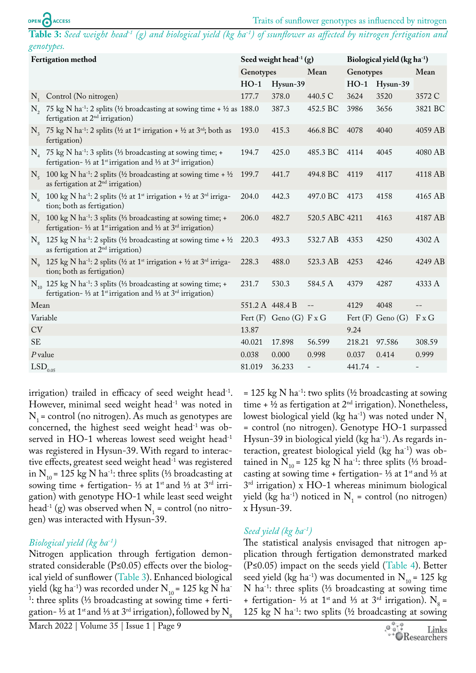<span id="page-4-0"></span>**Table 3:** *Seed weight head-1 (g) and biological yield (kg ha-1) of ssunflower as affected by nitrogen fertigation and genotypes.*

| <b>Fertigation method</b> |                                                                                                                                                                            |                 | Seed weight head <sup>-1</sup> (g) |                | Biological yield $(kg ha-1)$ |                       |                          |  |
|---------------------------|----------------------------------------------------------------------------------------------------------------------------------------------------------------------------|-----------------|------------------------------------|----------------|------------------------------|-----------------------|--------------------------|--|
|                           |                                                                                                                                                                            | Genotypes       |                                    | Mean           | Genotypes                    |                       | Mean                     |  |
|                           |                                                                                                                                                                            | $HO-1$          | Hysun-39                           |                | $HO-1$                       | Hysun-39              |                          |  |
|                           | N <sub>1</sub> Control (No nitrogen)                                                                                                                                       | 177.7           | 378.0                              | 440.5 C        | 3624                         | 3520                  | 3572 C                   |  |
|                           | N, 75 kg N ha <sup>-1</sup> : 2 splits (1/2 broadcasting at sowing time + 1/2 as 188.0)<br>fertigation at $2nd$ irrigation)                                                |                 | 387.3                              | 452.5 BC       | 3986                         | 3656                  | 3821 BC                  |  |
|                           | N <sub>3</sub> 75 kg N ha <sup>-1</sup> : 2 splits (1/2 at 1 <sup>st</sup> irrigation + 1/2 at 3 <sup>rd</sup> ; both as<br>fertigation)                                   | 193.0           | 415.3                              | 466.8 BC       | 4078                         | 4040                  | 4059 AB                  |  |
|                           | $N_A$ 75 kg N ha <sup>-1</sup> : 3 splits (1/3 broadcasting at sowing time; +<br>fertigation- 1/3 at 1 <sup>st</sup> irrigation and 1/3 at $3rd$ irrigation)               | 194.7           | 425.0                              | 485.3 BC       | 4114                         | 4045                  | 4080 AB                  |  |
|                           | $N_5$ 100 kg N ha <sup>-1</sup> : 2 splits (½ broadcasting at sowing time + ½<br>as fertigation at $2nd$ irrigation)                                                       | 199.7           | 441.7                              | 494.8 BC 4119  |                              | 4117                  | 4118 AB                  |  |
|                           | $N_6$ 100 kg N ha <sup>-1</sup> : 2 splits (1/2 at 1 <sup>st</sup> irrigation + 1/2 at 3 <sup>rd</sup> irriga-<br>tion; both as fertigation)                               | 204.0           | 442.3                              | 497.0 BC 4173  |                              | 4158                  | 4165 AB                  |  |
|                           | N <sub>7</sub> 100 kg N ha <sup>-1</sup> : 3 splits (1/3 broadcasting at sowing time; +<br>fertigation- 1/3 at 1 <sup>st</sup> irrigation and 1/3 at $3rd$ irrigation)     | 206.0           | 482.7                              | 520.5 ABC 4211 |                              | 4163                  | 4187 AB                  |  |
|                           | N <sub>o</sub> 125 kg N ha <sup>-1</sup> : 2 splits (½ broadcasting at sowing time + ½<br>as fertigation at $2nd$ irrigation)                                              | 220.3           | 493.3                              | 532.7 AB       | 4353                         | 4250                  | 4302 A                   |  |
|                           | N <sub>o</sub> 125 kg N ha <sup>-1</sup> : 2 splits ( $\frac{1}{2}$ at 1 <sup>st</sup> irrigation + $\frac{1}{2}$ at 3 <sup>rd</sup> irriga-<br>tion; both as fertigation) | 228.3           | 488.0                              | 523.3 AB       | 4253                         | 4246                  | 4249 AB                  |  |
|                           | $N_{10}$ 125 kg N ha <sup>-1</sup> : 3 splits (1/3 broadcasting at sowing time; +<br>fertigation- 1/3 at 1 <sup>st</sup> irrigation and 1/3 at 3 <sup>rd</sup> irrigation) | 231.7           | 530.3                              | 584.5 A        | 4379                         | 4287                  | 4333 A                   |  |
| Mean                      |                                                                                                                                                                            | 551.2 A 448.4 B |                                    | $- -$          | 4129                         | 4048                  |                          |  |
| Variable                  |                                                                                                                                                                            |                 | Fert $(F)$ Geno $(G)$ F x G        |                |                              | Fert $(F)$ Geno $(G)$ | $F \times G$             |  |
| CV                        |                                                                                                                                                                            | 13.87           |                                    |                | 9.24                         |                       |                          |  |
| <b>SE</b>                 |                                                                                                                                                                            | 40.021          | 17.898                             | 56.599         | 218.21                       | 97.586                | 308.59                   |  |
| $P$ value                 |                                                                                                                                                                            | 0.038           | 0.000                              | 0.998          | 0.037                        | 0.414                 | 0.999                    |  |
| $\mathrm{LSD}_{0.05}$     |                                                                                                                                                                            | 81.019          | 36.233                             | $\frac{1}{2}$  | 441.74 -                     |                       | $\overline{\phantom{0}}$ |  |

irrigation) trailed in efficacy of seed weight head<sup>-1</sup>. However, minimal seed weight head<sup>-1</sup> was noted in  $N_1$  = control (no nitrogen). As much as genotypes are concerned, the highest seed weight head-1 was observed in HO-1 whereas lowest seed weight head-1 was registered in Hysun-39. With regard to interactive effects, greatest seed weight head<sup>-1</sup> was registered in N<sub>10</sub> = 125 kg N ha<sup>-1</sup>: three splits (⅓ broadcasting at sowing time + fertigation- ⅓ at 1<sup>st</sup> and 1⁄3 at 3<sup>rd</sup> irrigation) with genotype HO-1 while least seed weight head<sup>-1</sup> (g) was observed when  $N_1$  = control (no nitrogen) was interacted with Hysun-39.

#### *Biological yield (kg ha-1)*

Nitrogen application through fertigation demonstrated considerable (P≤0.05) effects over the biological yield of sunflower [\(Table 3](#page-4-0)). Enhanced biological yield (kg ha<sup>-1</sup>) was recorded under  $N_{10}$  = 125 kg N ha<sup>-1</sup> 1 : three splits (⅓ broadcasting at sowing time + fertigation- ⅓ at 1<sup>st</sup> and ⅓ at 3<sup>rd</sup> irrigation), followed by N<sub>8</sub>

March 2022 | Volume 35 | Issue 1 | Page 9

= 125 kg N ha<sup>-1</sup>: two splits ( $\frac{1}{2}$  broadcasting at sowing time  $+ 1/2$  as fertigation at  $2<sup>nd</sup>$  irrigation). Nonetheless, lowest biological yield (kg ha<sup>-1</sup>) was noted under  $N_1$ = control (no nitrogen). Genotype HO-1 surpassed Hysun-39 in biological yield (kg ha<sup>-1</sup>). As regards interaction, greatest biological yield ( $kg \text{ ha}^{-1}$ ) was obtained in N<sub>10</sub> = 125 kg N ha<sup>-1</sup>: three splits (⅓ broadcasting at sowing time + fertigation- ½ at 1<sup>st</sup> and ½ at  $3<sup>rd</sup>$  irrigation) x HO-1 whereas minimum biological yield (kg ha<sup>-1</sup>) noticed in  $N_1$  = control (no nitrogen) x Hysun-39.

#### *Seed yield (kg ha-1)*

The statistical analysis envisaged that nitrogen application through fertigation demonstrated marked (P≤0.05) impact on the seeds yield ([Table 4](#page-5-0)). Better seed yield (kg ha<sup>-1</sup>) was documented in  $N_{10}$  = 125 kg N ha-1: three splits (⅓ broadcasting at sowing time + fertigation- ⅓ at 1<sup>st</sup> and ⅓ at 3<sup>rd</sup> irrigation). N<sub>8</sub> = 125 kg N ha<sup>-1</sup>: two splits ( $\frac{1}{2}$  broadcasting at sowing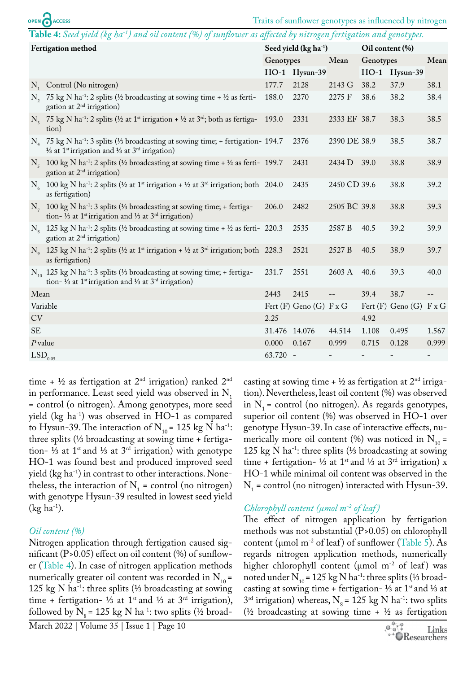<span id="page-5-0"></span>

|                       | OPEN CACCESS                                                                                                                                                                          |               |                                   |                          |                 | Traits of sunflower genotypes as influenced by nitrogen |                          |
|-----------------------|---------------------------------------------------------------------------------------------------------------------------------------------------------------------------------------|---------------|-----------------------------------|--------------------------|-----------------|---------------------------------------------------------|--------------------------|
|                       | Table 4: Seed yield (kg ha <sup>-1</sup> ) and oil content (%) of sunflower as affected by nitrogen fertigation and genotypes.                                                        |               |                                   |                          |                 |                                                         |                          |
| Fertigation method    |                                                                                                                                                                                       |               | Seed yield (kg ha <sup>-1</sup> ) |                          | Oil content (%) |                                                         |                          |
|                       |                                                                                                                                                                                       | Genotypes     |                                   | Mean                     | Genotypes       |                                                         | Mean                     |
|                       |                                                                                                                                                                                       |               | HO-1 Hysun-39                     |                          | $HO-1$          | Hysun-39                                                |                          |
|                       | $N_1$ Control (No nitrogen)                                                                                                                                                           | 177.7         | 2128                              | 2143 G                   | 38.2            | 37.9                                                    | 38.1                     |
|                       | N, 75 kg N ha <sup>-1</sup> : 2 splits (1/2 broadcasting at sowing time + 1/2 as ferti-<br>gation at $2nd$ irrigation)                                                                | 188.0         | 2270                              | 2275 F                   | 38.6            | 38.2                                                    | 38.4                     |
|                       | N <sub>3</sub> 75 kg N ha <sup>-1</sup> : 2 splits ( $\frac{1}{2}$ at 1 <sup>st</sup> irrigation + $\frac{1}{2}$ at 3 <sup>rd</sup> ; both as fertiga- 193.0<br>tion)                 |               | 2331                              | 2333 EF 38.7             |                 | 38.3                                                    | 38.5                     |
|                       | N <sub>4</sub> 75 kg N ha <sup>-1</sup> : 3 splits (1/3 broadcasting at sowing time; + fertigation- 194.7<br>1/3 at 1 <sup>st</sup> irrigation and 1/3 at 3 <sup>rd</sup> irrigation) |               | 2376                              | 2390 DE 38.9             |                 | 38.5                                                    | 38.7                     |
|                       | $N_c$ 100 kg N ha <sup>-1</sup> : 2 splits (1/2 broadcasting at sowing time + 1/2 as ferti-199.7<br>gation at $2nd$ irrigation)                                                       |               | 2431                              | 2434 D                   | 39.0            | 38.8                                                    | 38.9                     |
|                       | $N_c$ 100 kg N ha <sup>-1</sup> : 2 splits (1/2 at 1 <sup>st</sup> irrigation + 1/2 at 3 <sup>rd</sup> irrigation; both 204.0<br>as fertigation)                                      |               | 2435                              | 2450 CD 39.6             |                 | 38.8                                                    | 39.2                     |
|                       | N <sub>7</sub> 100 kg N ha <sup>-1</sup> : 3 splits (1/3 broadcasting at sowing time; + fertiga-<br>tion- 1/3 at 1 <sup>st</sup> irrigation and 1/3 at $3rd$ irrigation)              | 206.0         | 2482                              | 2505 BC 39.8             |                 | 38.8                                                    | 39.3                     |
|                       | N <sub>s</sub> 125 kg N ha <sup>-1</sup> : 2 splits (1/2 broadcasting at sowing time + 1/2 as ferti-220.3<br>gation at $2nd$ irrigation)                                              |               | 2535                              | 2587 B                   | 40.5            | 39.2                                                    | 39.9                     |
|                       | N <sub>o</sub> 125 kg N ha <sup>-1</sup> : 2 splits (1/2 at 1 <sup>st</sup> irrigation + 1/2 at 3 <sup>rd</sup> irrigation; both 228.3<br>as fertigation)                             |               | 2521                              | 2527 B                   | 40.5            | 38.9                                                    | 39.7                     |
|                       | N <sub>10</sub> 125 kg N ha <sup>-1</sup> : 3 splits (1/3 broadcasting at sowing time; + fertiga-<br>tion- 1/3 at 1 <sup>st</sup> irrigation and 1/3 at $3rd$ irrigation)             | 231.7         | 2551                              | 2603 A                   | 40.6            | 39.3                                                    | 40.0                     |
| Mean                  |                                                                                                                                                                                       | 2443          | 2415                              | $--$                     | 39.4            | 38.7                                                    |                          |
|                       | Variable                                                                                                                                                                              |               | Fert $(F)$ Geno $(G)$ F x G       |                          |                 | Fert $(F)$ Geno $(G)$ F x G                             |                          |
| CV                    |                                                                                                                                                                                       | 2.25          |                                   |                          | 4.92            |                                                         |                          |
| <b>SE</b>             |                                                                                                                                                                                       | 31.476 14.076 |                                   | 44.514                   | 1.108           | 0.495                                                   | 1.567                    |
| $P$ value             |                                                                                                                                                                                       | 0.000         | 0.167                             | 0.999                    | 0.715           | 0.128                                                   | 0.999                    |
| $LSD$ <sub>0.05</sub> |                                                                                                                                                                                       | 63.720 -      |                                   | $\overline{\phantom{0}}$ |                 | $\overline{\phantom{0}}$                                | $\overline{\phantom{a}}$ |

time +  $\frac{1}{2}$  as fertigation at  $2<sup>nd</sup>$  irrigation) ranked  $2<sup>nd</sup>$ in performance. Least seed yield was observed in  $N_1$ = control (o nitrogen). Among genotypes, more seed yield (kg ha-1) was observed in HO-1 as compared to Hysun-39. The interaction of  $N_{10}$  = 125 kg N ha<sup>-1</sup>: three splits (⅓ broadcasting at sowing time + fertigation- ⅓ at 1st and ⅓ at 3rd irrigation) with genotype HO-1 was found best and produced improved seed yield (kg ha-1) in contrast to other interactions. Nonetheless, the interaction of  $N_1$  = control (no nitrogen) with genotype Hysun-39 resulted in lowest seed yield  $(kg ha<sup>-1</sup>).$ 

#### *Oil content (%)*

Nitrogen application through fertigation caused significant  $(P>0.05)$  effect on oil content  $(\%)$  of sunflower ([Table 4\)](#page-5-0). In case of nitrogen application methods numerically greater oil content was recorded in  $N_{10}$  = 125 kg N ha-1: three splits (⅓ broadcasting at sowing time + fertigation- ⅓ at 1<sup>st</sup> and ⅓ at 3<sup>rd</sup> irrigation), followed by  $N_s$  = 125 kg N ha<sup>-1</sup>: two splits (½ broad-

March 2022 | Volume 35 | Issue 1 | Page 10

casting at sowing time  $+ 1/2$  as fertigation at  $2<sup>nd</sup>$  irrigation). Nevertheless, least oil content (%) was observed in  $N_1$  = control (no nitrogen). As regards genotypes, superior oil content (%) was observed in HO-1 over genotype Hysun-39. In case of interactive effects, numerically more oil content (%) was noticed in  $N_{10}$  = 125 kg N ha-1: three splits (⅓ broadcasting at sowing time + fertigation- ⅓ at 1<sup>st</sup> and ⅓ at 3<sup>rd</sup> irrigation) x HO-1 while minimal oil content was observed in the  $N<sub>1</sub>$  = control (no nitrogen) interacted with Hysun-39.

#### *Chlorophyll content (µmol m-2 of leaf )*

The effect of nitrogen application by fertigation methods was not substantial (P>0.05) on chlorophyll content ( $\mu$ mol m<sup>-2</sup> of leaf) of sunflower ([Table 5\)](#page-6-0). As regards nitrogen application methods, numerically higher chlorophyll content ( $\mu$ mol m<sup>-2</sup> of leaf) was noted under  $N_{10}$  = 125 kg N ha<sup>-1</sup>: three splits (⅓ broadcasting at sowing time + fertigation- 1⁄3 at 1<sup>st</sup> and 1⁄3 at  $3<sup>rd</sup>$  irrigation) whereas, N<sub>8</sub> = 125 kg N ha<sup>-1</sup>: two splits ( $\frac{1}{2}$  broadcasting at sowing time +  $\frac{1}{2}$  as fertigation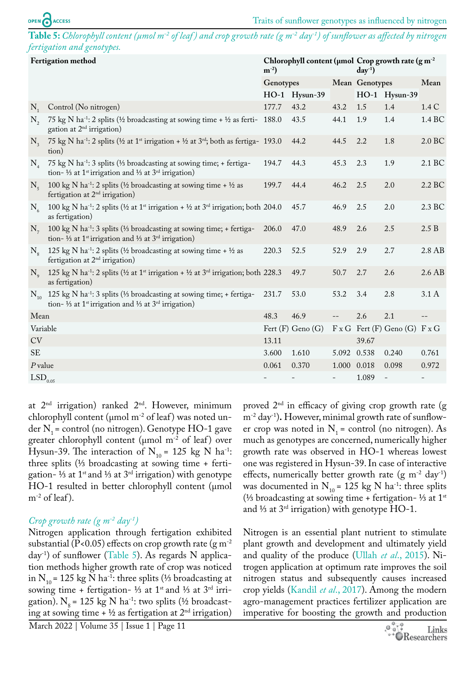<span id="page-6-0"></span>**Table 5:** *Chlorophyll content (µmol m-2 of leaf ) and crop growth rate (g m-2 day-1) of sunflower as affected by nitrogen fertigation and genotypes.*

| Fertigation method    |                                                                                                                                                                                 | $m^{-2}$ ) |                       |                          | Chlorophyll content ( $\mu$ mol Crop growth rate ( $g m^{-2}$<br>$day^{-1}$ |                                             |                          |
|-----------------------|---------------------------------------------------------------------------------------------------------------------------------------------------------------------------------|------------|-----------------------|--------------------------|-----------------------------------------------------------------------------|---------------------------------------------|--------------------------|
|                       |                                                                                                                                                                                 | Genotypes  |                       |                          | Mean Genotypes                                                              |                                             | Mean                     |
|                       |                                                                                                                                                                                 |            | HO-1 Hysun-39         |                          |                                                                             | HO-1 Hysun-39                               |                          |
| $N_{1}$               | Control (No nitrogen)                                                                                                                                                           | 177.7      | 43.2                  | 43.2                     | 1.5                                                                         | 1.4                                         | 1.4 C                    |
| $N_{2}$               | 75 kg N ha <sup>-1</sup> : 2 splits (1/2 broadcasting at sowing time + 1/2 as ferti- 188.0)<br>gation at $2nd$ irrigation)                                                      |            | 43.5                  | 44.1                     | 1.9                                                                         | 1.4                                         | 1.4 BC                   |
| $N_{\rm a}$           | 75 kg N ha <sup>-1</sup> : 2 splits (1/2 at 1 <sup>st</sup> irrigation + 1/2 at 3 <sup>rd</sup> ; both as fertiga- 193.0<br>tion)                                               |            | 44.2                  | 44.5                     | 2.2                                                                         | 1.8                                         | 2.0 BC                   |
| $\rm N_{_4}$          | 75 kg N ha <sup>-1</sup> : 3 splits (1/3 broadcasting at sowing time; + fertiga-<br>tion- 1/3 at 1 <sup>st</sup> irrigation and 1/3 at 3 <sup>rd</sup> irrigation)              | 194.7      | 44.3                  | 45.3                     | 2.3                                                                         | 1.9                                         | 2.1 BC                   |
| $N_{\zeta}$           | 100 kg N ha <sup>-1</sup> : 2 splits ( $\frac{1}{2}$ broadcasting at sowing time + $\frac{1}{2}$ as<br>fertigation at 2 <sup>nd</sup> irrigation)                               | 199.7      | 44.4                  | 46.2                     | 2.5                                                                         | 2.0                                         | 2.2 BC                   |
| $N_{6}$               | 100 kg N ha <sup>-1</sup> : 2 splits ( $\frac{1}{2}$ at 1 <sup>st</sup> irrigation + $\frac{1}{2}$ at 3 <sup>rd</sup> irrigation; both 204.0<br>as fertigation)                 |            | 45.7                  | 46.9                     | 2.5                                                                         | 2.0                                         | 2.3 BC                   |
| $N_{7}$               | 100 kg N ha <sup>-1</sup> : 3 splits (1/3 broadcasting at sowing time; + fertiga-<br>tion- 1/3 at 1 <sup>st</sup> irrigation and 1/3 at $3^{rd}$ irrigation)                    | 206.0      | 47.0                  | 48.9                     | 2.6                                                                         | 2.5                                         | 2.5 B                    |
| $N_{\rm g}$           | 125 kg N ha <sup>-1</sup> : 2 splits (½ broadcasting at sowing time + ½ as<br>fertigation at 2 <sup>nd</sup> irrigation)                                                        | 220.3      | 52.5                  | 52.9                     | 2.9                                                                         | 2.7                                         | 2.8 AB                   |
| $N_{\rm o}$           | 125 kg N ha <sup>-1</sup> : 2 splits ( $\frac{1}{2}$ at 1 <sup>st</sup> irrigation + $\frac{1}{2}$ at 3 <sup>rd</sup> irrigation; both 228.3<br>as fertigation)                 |            | 49.7                  | 50.7                     | 2.7                                                                         | 2.6                                         | 2.6 AB                   |
| $\rm N_{_{10}}$       | 125 kg N ha <sup>-1</sup> : 3 splits (1/ <sub>3</sub> broadcasting at sowing time; + fertiga-<br>tion- 1/3 at 1 <sup>st</sup> irrigation and 1/3 at 3 <sup>rd</sup> irrigation) | 231.7      | 53.0                  | 53.2                     | 3.4                                                                         | 2.8                                         | 3.1A                     |
| Mean                  |                                                                                                                                                                                 | 48.3       | 46.9                  | $--$                     | 2.6                                                                         | 2.1                                         | $--$                     |
| Variable              |                                                                                                                                                                                 |            | Fert $(F)$ Geno $(G)$ |                          |                                                                             | $F \times G$ Fert (F) Geno (G) $F \times G$ |                          |
| CV                    |                                                                                                                                                                                 | 13.11      |                       |                          | 39.67                                                                       |                                             |                          |
| <b>SE</b>             |                                                                                                                                                                                 | 3.600      | 1.610                 | 5.092                    | 0.538                                                                       | 0.240                                       | 0.761                    |
| $P$ value             |                                                                                                                                                                                 | 0.061      | 0.370                 | 1.000 0.018              |                                                                             | 0.098                                       | 0.972                    |
| $\mathrm{LSD}_{0.05}$ |                                                                                                                                                                                 |            |                       | $\overline{\phantom{a}}$ | 1.089                                                                       | $\bar{ }$                                   | $\overline{\phantom{a}}$ |

at  $2<sup>nd</sup>$  irrigation) ranked  $2<sup>nd</sup>$ . However, minimum chlorophyll content ( $\mu$ mol m<sup>-2</sup> of leaf) was noted under  $N_1$  = control (no nitrogen). Genotype HO-1 gave greater chlorophyll content ( $\mu$ mol m<sup>-2</sup> of leaf) over Hysun-39. The interaction of  $N_{10}$  = 125 kg N ha<sup>-1</sup>: three splits (⅓ broadcasting at sowing time + fertigation- ⅓ at 1st and ⅓ at 3rd irrigation) with genotype HO-1 resulted in better chlorophyll content (µmol  $m^{-2}$  of leaf).

#### *Crop growth rate (g m-2 day-1)*

Nitrogen application through fertigation exhibited substantial (P<0.05) effects on crop growth rate (g  $m^{-2}$ )  $day^{-1}$ ) of sunflower [\(Table 5](#page-6-0)). As regards N application methods higher growth rate of crop was noticed in N<sub>10</sub> = 125 kg N ha<sup>-1</sup>: three splits (⅓ broadcasting at sowing time + fertigation- 1/3 at 1<sup>st</sup> and 1/3 at 3<sup>rd</sup> irrigation).  $N_e$  = 125 kg N ha<sup>-1</sup>: two splits (½ broadcasting at sowing time +  $\frac{1}{2}$  as fertigation at  $2<sup>nd</sup>$  irrigation)

proved  $2<sup>nd</sup>$  in efficacy of giving crop growth rate (g m-2 day-1)**.** However, minimal growth rate of sunflower crop was noted in  $N_1$  = control (no nitrogen). As much as genotypes are concerned, numerically higher growth rate was observed in HO-1 whereas lowest one was registered in Hysun-39. In case of interactive effects, numerically better growth rate  $(g m<sup>-2</sup> day<sup>-1</sup>)$ was documented in  $N_{10}$  = 125 kg N ha<sup>-1</sup>: three splits (⅓ broadcasting at sowing time + fertigation- ⅓ at 1st and ⅓ at 3rd irrigation) with genotype HO-1.

Nitrogen is an essential plant nutrient to stimulate plant growth and development and ultimately yield and quality of the produce (Ullah *et al*[., 2015\)](#page-9-7). Nitrogen application at optimum rate improves the soil nitrogen status and subsequently causes increased crop yields ([Kandil](#page-8-9) *et al*., 2017). Among the modern agro-management practices fertilizer application are imperative for boosting the growth and production

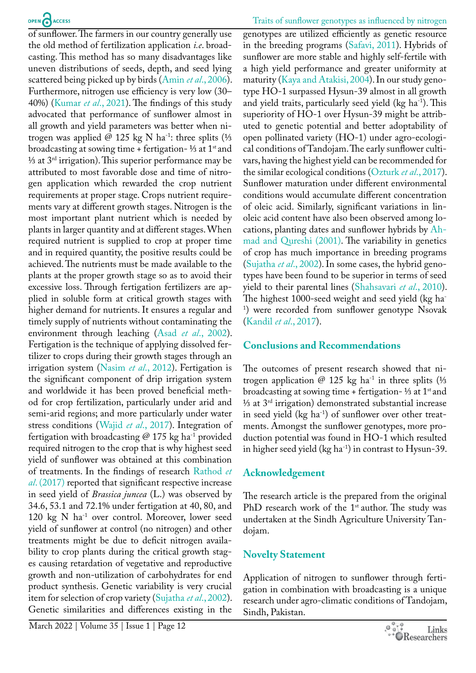of sunflower. The farmers in our country generally use the old method of fertilization application *i.e*. broadcasting. This method has so many disadvantages like uneven distributions of seeds, depth, and seed lying scattered being picked up by birds (Amin *et al*[., 2006\)](#page-8-10). Furthermore, nitrogen use efficiency is very low (30– 40%) (Kumar *et al*., 2021). The findings of this study advocated that performance of sunflower almost in all growth and yield parameters was better when nitrogen was applied @ 125 kg N ha<sup>-1</sup>: three splits (⅓ broadcasting at sowing time + fertigation- ½ at  $1<sup>st</sup>$  and <sup>1⁄3</sup> at  $3<sup>rd</sup>$  irrigation). This superior performance may be attributed to most favorable dose and time of nitrogen application which rewarded the crop nutrient requirements at proper stage. Crops nutrient requirements vary at different growth stages. Nitrogen is the most important plant nutrient which is needed by plants in larger quantity and at different stages. When required nutrient is supplied to crop at proper time and in required quantity, the positive results could be achieved. The nutrients must be made available to the plants at the proper growth stage so as to avoid their excessive loss. Through fertigation fertilizers are applied in soluble form at critical growth stages with higher demand for nutrients. It ensures a regular and timely supply of nutrients without contaminating the environment through leaching (Asad *et al*[., 2002\)](#page-8-11). Fertigation is the technique of applying dissolved fertilizer to crops during their growth stages through an irrigation system [\(Nasim](#page-8-4) *et al*., 2012). Fertigation is the significant component of drip irrigation system and worldwide it has been proved beneficial method for crop fertilization, particularly under arid and semi-arid regions; and more particularly under water stress conditions (Wajid *et al*[., 2017](#page-9-2)). Integration of fertigation with broadcasting  $@$  175 kg ha<sup>-1</sup> provided required nitrogen to the crop that is why highest seed yield of sunflower was obtained at this combination of treatments. In the findings of research [Rathod](#page-9-8) *et al*[. \(2017\)](#page-9-8) reported that significant respective increase in seed yield of *Brassica juncea* (L.) was observed by 34.6, 53.1 and 72.1% under fertigation at 40, 80, and 120 kg N ha<sup>-1</sup> over control. Moreover, lower seed yield of sunflower at control (no nitrogen) and other treatments might be due to deficit nitrogen availability to crop plants during the critical growth stages causing retardation of vegetative and reproductive growth and non-utilization of carbohydrates for end product synthesis. Genetic variability is very crucial item for selection of crop variety ([Sujatha](#page-9-9) *et al*., 2002). Genetic similarities and differences existing in the

genotypes are utilized efficiently as genetic resource in the breeding programs [\(Safavi, 2011](#page-9-10)). Hybrids of sunflower are more stable and highly self-fertile with a high yield performance and greater uniformity at maturity ([Kaya and Atakisi, 2004\)](#page-8-12). In our study genotype HO-1 surpassed Hysun-39 almost in all growth and yield traits, particularly seed yield (kg ha<sup>-1</sup>). This superiority of HO-1 over Hysun-39 might be attributed to genetic potential and better adoptability of open pollinated variety (HO-1) under agro-ecological conditions of Tandojam. The early sunflower cultivars, having the highest yield can be recommended for the similar ecological conditions [\(Ozturk](#page-9-11) *et al*., 2017). Sunflower maturation under different environmental conditions would accumulate different concentration of oleic acid. Similarly, significant variations in linoleic acid content have also been observed among locations, planting dates and sunflower hybrids by [Ah](#page-8-13)[mad and Qureshi \(2001\).](#page-8-13) The variability in genetics of crop has much importance in breeding programs [\(Sujatha](#page-9-9) *et al*., 2002). In some cases, the hybrid genotypes have been found to be superior in terms of seed yield to their parental lines ([Shahsavari](#page-9-12) *et al*., 2010). The highest 1000-seed weight and seed yield (kg ha-1 ) were recorded from sunflower genotype Nsovak [\(Kandil](#page-8-9) *et al*., 2017).

## **Conclusions and Recommendations**

The outcomes of present research showed that nitrogen application @ 125 kg ha<sup>-1</sup> in three splits (⅓ broadcasting at sowing time + fertigation- ½ at  $1<sup>st</sup>$  and ⅓ at 3rd irrigation) demonstrated substantial increase in seed yield  $(kg ha<sup>-1</sup>)$  of sunflower over other treatments. Amongst the sunflower genotypes, more production potential was found in HO-1 which resulted in higher seed yield  $(kg ha^{-1})$  in contrast to Hysun-39.

## **Acknowledgement**

The research article is the prepared from the original PhD research work of the  $1<sup>st</sup>$  author. The study was undertaken at the Sindh Agriculture University Tandojam.

## **Novelty Statement**

Application of nitrogen to sunflower through fertigation in combination with broadcasting is a unique research under agro-climatic conditions of Tandojam, Sindh, Pakistan.

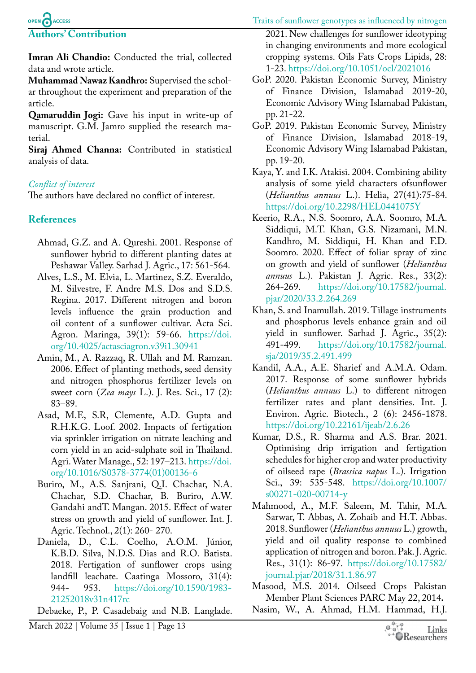#### Traits of sunflower genotypes as influenced by nitrogen

## OPEN CACCESS **Authors' Contribution**

**Imran Ali Chandio:** Conducted the trial, collected data and wrote article.

**Muhammad Nawaz Kandhro:** Supervised the scholar throughout the experiment and preparation of the article.

**Qamaruddin Jogi:** Gave his input in write-up of manuscript. G.M. Jamro supplied the research material.

**Siraj Ahmed Channa:** Contributed in statistical analysis of data.

## *Conflict of interest*

The authors have declared no conflict of interest.

## **References**

- <span id="page-8-13"></span>Ahmad, G.Z. and A. Qureshi. 2001. Response of sunflower hybrid to different planting dates at Peshawar Valley. Sarhad J. Agric., 17: 561-564.
- <span id="page-8-8"></span>Alves, L.S., M. Elvia, L. Martinez, S.Z. Everaldo, M. Silvestre, F. Andre M.S. Dos and S.D.S. Regina. 2017. Different nitrogen and boron levels influence the grain production and oil content of a sunflower cultivar. Acta Sci. Agron. Maringa, 39(1): 59-66. [https://doi.](https://doi.org/10.4025/actasciagron.v39i1.30941) [org/10.4025/actasciagron.v39i1.30941](https://doi.org/10.4025/actasciagron.v39i1.30941)
- <span id="page-8-10"></span>Amin, M., A. Razzaq, R. Ullah and M. Ramzan. 2006. Effect of planting methods, seed density and nitrogen phosphorus fertilizer levels on sweet corn (*Zea mays* L.). J. Res. Sci., 17 (2): 83–89.
- <span id="page-8-11"></span>Asad, M.E, S.R, Clemente, A.D. Gupta and R.H.K.G. Loof. 2002. Impacts of fertigation via sprinkler irrigation on nitrate leaching and corn yield in an acid-sulphate soil in Thailand. Agri. Water Manage., 52: 197–213. [https://doi.](https://doi.org/10.1016/S0378-3774(01)00136-6) [org/10.1016/S0378-3774\(01\)00136-6](https://doi.org/10.1016/S0378-3774(01)00136-6)
- <span id="page-8-6"></span>Buriro, M., A.S. Sanjrani, Q.I. Chachar, N.A. Chachar, S.D. Chachar, B. Buriro, A.W. Gandahi andT. Mangan. 2015. Effect of water stress on growth and yield of sunflower. Int. J. Agric. Technol., 2(1): 260- 270.
- Daniela, D., C.L. Coelho, A.O.M. Júnior, K.B.D. Silva, N.D.S. Dias and R.O. Batista. 2018. Fertigation of sunflower crops using landfill leachate. Caatinga Mossoro, 31(4): 944- 953. [https://doi.org/10.1590/1983-](https://doi.org/10.1590/1983-21252018v31n417rc) [21252018v31n417rc](https://doi.org/10.1590/1983-21252018v31n417rc)

<span id="page-8-7"></span>Debaeke, P., P. Casadebaig and N.B. Langlade.

2021. New challenges for sunflower ideotyping in changing environments and more ecological cropping systems. Oils Fats Crops Lipids, 28: 1-23. <https://doi.org/10.1051/ocl/2021016>

- GoP. 2020. Pakistan Economic Survey, Ministry of Finance Division, Islamabad 2019-20, Economic Advisory Wing Islamabad Pakistan, pp. 21-22.
- <span id="page-8-0"></span>GoP. 2019. Pakistan Economic Survey, Ministry of Finance Division, Islamabad 2018-19, Economic Advisory Wing Islamabad Pakistan, pp. 19-20.
- <span id="page-8-12"></span>Kaya, Y. and I.K. Atakisi. 2004. Combining ability analysis of some yield characters ofsunflower (*Helianthus annuus* L.). Helia, 27(41):75-84. <https://doi.org/10.2298/HEL0441075Y>
- <span id="page-8-3"></span>Keerio, R.A., N.S. Soomro, A.A. Soomro, M.A. Siddiqui, M.T. Khan, G.S. Nizamani, M.N. Kandhro, M. Siddiqui, H. Khan and F.D. Soomro. 2020. Effect of foliar spray of zinc on growth and yield of sunflower (*Helianthus annuus* L.). Pakistan J. Agric. Res., 33(2): 264-269. [https://doi.org/10.17582/journal.](https://doi.org/10.17582/journal.pjar/2020/33.2.264.269) [pjar/2020/33.2.264.269](https://doi.org/10.17582/journal.pjar/2020/33.2.264.269)
- <span id="page-8-1"></span>Khan, S. and Inamullah. 2019. Tillage instruments and phosphorus levels enhance grain and oil yield in sunflower. Sarhad J. Agric., 35(2): 491-499. [https://doi.org/10.17582/journal.](https://doi.org/10.17582/journal.sja/2019/35.2.491.499) [sja/2019/35.2.491.499](https://doi.org/10.17582/journal.sja/2019/35.2.491.499)
- <span id="page-8-9"></span>Kandil, A.A., A.E. Sharief and A.M.A. Odam. 2017. Response of some sunflower hybrids (*Helianthus annuus* L.) to different nitrogen fertilizer rates and plant densities. Int. J. Environ. Agric. Biotech., 2 (6): 2456-1878. <https://doi.org/10.22161/ijeab/2.6.26>
- Kumar, D.S., R. Sharma and A.S. Brar. 2021. Optimising drip irrigation and fertigation schedules for higher crop and water productivity of oilseed rape (*Brassica napus* L.). Irrigation Sci., 39: 535-548. [https://doi.org/10.1007/](https://doi.org/10.1007/s00271-020-00714-y) [s00271-020-00714-y](https://doi.org/10.1007/s00271-020-00714-y)
- <span id="page-8-5"></span>Mahmood, A., M.F. Saleem, M. Tahir, M.A. Sarwar, T. Abbas, A. Zohaib and H.T. Abbas. 2018. Sunflower (*Helianthus annuus* L.) growth, yield and oil quality response to combined application of nitrogen and boron. Pak. J. Agric. Res., 31(1): 86-97. [https://doi.org/10.17582/](https://doi.org/10.17582/journal.pjar/2018/31.1.86.97) [journal.pjar/2018/31.1.86.97](https://doi.org/10.17582/journal.pjar/2018/31.1.86.97)
- <span id="page-8-2"></span>Masood, M.S. 2014. Oilseed Crops Pakistan Member Plant Sciences PARC May 22, 2014**.**
- <span id="page-8-4"></span>Nasim, W., A. Ahmad, H.M. Hammad, H.J.